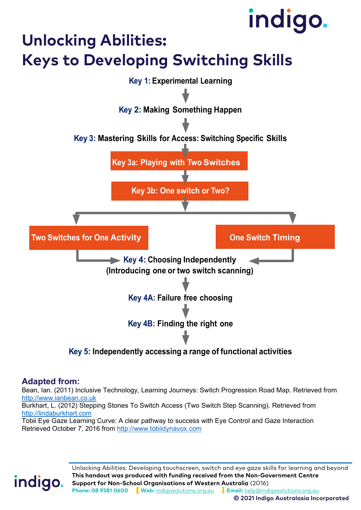## **Unlocking Abilities:**

## **Keys to Developing Switching Skills**



#### **Adapted from:**

indigo.

Bean, Ian. (2011) Inclusive Technology, Learning Journeys: Switch Progression Road Map. Retrieved from [http://www.ianbean.co.uk](http://www.ianbean.co.uk/)

Burkhart, L. (2012) Stepping Stones To Switch Access (Two Switch Step Scanning). Retrieved from [http://lindaburkhart.com](http://lindaburkhart.com/)

Tobii Eye Gaze Learning Curve: A clear pathway to success with Eye Control and Gaze Interaction Retrieved October 7, 2016 from [http://www.tobiidynavox.com](http://www.tobiidynavox.com/)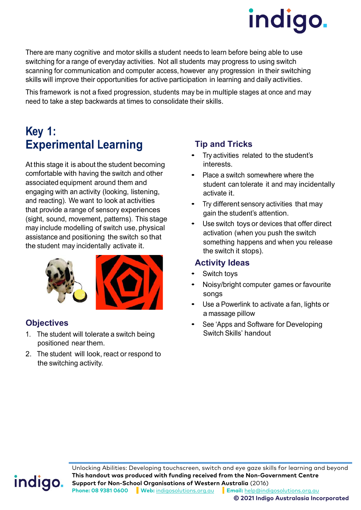

There are many cognitive and motor skills a student needs to learn before being able to use switching for a range of everyday activities. Not all students may progress to using switch scanning for communication and computer access, however any progression in their switching skills will improve their opportunities for active participation in learning and daily activities.

This framework is not a fixed progression, students may be in multiple stages at once and may need to take a step backwards at times to consolidate their skills.

### **Key 1: Experimental Learning**

At this stage it is about the student becoming comfortable with having the switch and other associated equipment around them and engaging with an activity (looking, listening, and reacting). We want to look at activities that provide a range of sensory experiences (sight, sound, movement, patterns). This stage may include modelling of switch use, physical assistance and positioning the switch so that the student may incidentally activate it.





#### **Objectives**

- 1. The student will tolerate a switch being positioned near them.
- 2. The student will look, react or respond to the switching activity.

#### **Tip and Tricks**

- Try activities related to the student's interests.
- Place a switch somewhere where the student can tolerate it and may incidentally activate it.
- Try different sensory activities that may gain the student's attention.
- Use switch toys or devices that offer direct activation (when you push the switch something happens and when you release the switch it stops).

#### **Activity Ideas**

- Switch toys
- Noisy/bright computer games or favourite songs
- Use a Powerlink to activate a fan, lights or a massage pillow
- See 'Apps and Software for Developing Switch Skills' handout

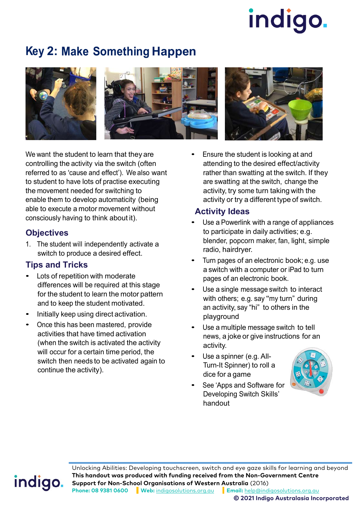### **Key 2: Make Something Happen**





We want the student to learn that they are controlling the activity via the switch (often referred to as 'cause and effect'). We also want to student to have lots of practise executing the movement needed for switching to enable them to develop automaticity (being able to execute a motor movement without consciously having to think about it).

#### **Objectives**

1. The student will independently activate a switch to produce a desired effect.

#### **Tips and Tricks**

- Lots of repetition with moderate differences will be required at this stage for the student to learn the motor pattern and to keep the student motivated.
- Initially keep using direct activation.
- Once this has been mastered, provide activities that have timed activation (when the switch is activated the activity will occur for a certain time period, the switch then needs to be activated again to continue the activity).



• Ensure the student is looking at and attending to the desired effect/activity rather than swatting at the switch. If they are swatting at the switch, change the activity, try some turn taking with the activity or try a different type of switch.

#### **Activity Ideas**

- Use a Powerlink with a range of appliances to participate in daily activities; e.g. blender, popcorn maker, fan, light, simple radio, hairdryer.
- Turn pages of an electronic book; e.g. use a switch with a computer or iPad to turn pages of an electronic book.
- Use a single message switch to interact with others; e.g. say "my turn" during an activity, say "hi" to others in the playground
- Use a multiple message switch to tell news, a joke or give instructions for an activity.
- Use a spinner (e.g. All-Turn-It Spinner) to roll a dice for a game
- See 'Apps and Software for Developing Switch Skills' handout



## indigo.

Unlocking Abilities: Developing touchscreen, switch and eye gaze skills for learning and beyond **This handout was produced with funding received from the Non-Government Centre Support for Non-School Organisations of Western Australia** (2016) **Phone: 08 9381 0600 Web:** [indigosolutions.org.au](https://www.indigosolutions.org.au/) **Email:** [help@indigosolutions.org.au](mailto:help@indigosolutions.org.au)

**© 2021 Indigo Australasia Incorporated**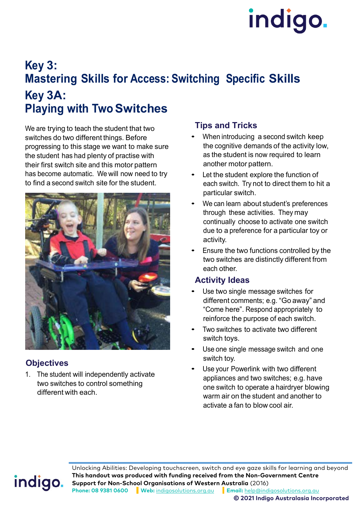### **Key 3: Mastering Skills for Access: Switching Specific Skills Key 3A: Playing with Two Switches**

We are trying to teach the student that two switches do two different things. Before progressing to this stage we want to make sure the student has had plenty of practise with their first switch site and this motor pattern has become automatic. We will now need to try to find a second switch site for the student.



#### **Objectives**

1. The student will independently activate two switches to control something different with each.

#### **Tips and Tricks**

- When introducing a second switch keep the cognitive demands of the activity low, as the student is now required to learn another motor pattern.
- Let the student explore the function of each switch. Try not to direct them to hit a particular switch.
- We can learn about student's preferences through these activities. They may continually choose to activate one switch due to a preference for a particular toy or activity.
- Ensure the two functions controlled by the two switches are distinctly different from each other.

#### **Activity Ideas**

- Use two single message switches for different comments; e.g. "Go away" and "Come here". Respond appropriately to reinforce the purpose of each switch.
- Two switches to activate two different switch toys.
- Use one single message switch and one switch toy.
- Use your Powerlink with two different appliances and two switches; e.g. have one switch to operate a hairdryer blowing warm air on the student and another to activate a fan to blow cool air.

## indigo.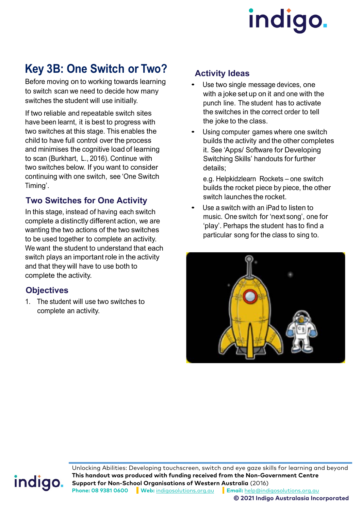### **Key 3B: One Switch or Two?**

Before moving on to working towards learning to switch scan we need to decide how many switches the student will use initially.

If two reliable and repeatable switch sites have been learnt, it is best to progress with two switches at this stage. This enables the child to have full control over the process and minimises the cognitive load of learning to scan (Burkhart, L., 2016). Continue with two switches below. If you want to consider continuing with one switch, see 'One Switch Timing'.

#### **Two Switches for One Activity**

In this stage, instead of having each switch complete a distinctly different action, we are wanting the two actions of the two switches to be used together to complete an activity. We want the student to understand that each switch plays an important role in the activity and that they will have to use both to complete the activity.

#### **Objectives**

1. The student will use two switches to complete an activity.

#### **Activity Ideas**

- Use two single message devices, one with a joke set up on it and one with the punch line. The student has to activate the switches in the correct order to tell the joke to the class.
- Using computer games where one switch builds the activity and the other completes it. See 'Apps/ Software for Developing Switching Skills' handouts for further details;

e.g. Helpkidzlearn Rockets – one switch builds the rocket piece by piece, the other switch launches the rocket.

Use a switch with an iPad to listen to music. One switch for 'next song', one for 'play'. Perhaps the student has to find a particular song for the class to sing to.



## indigo.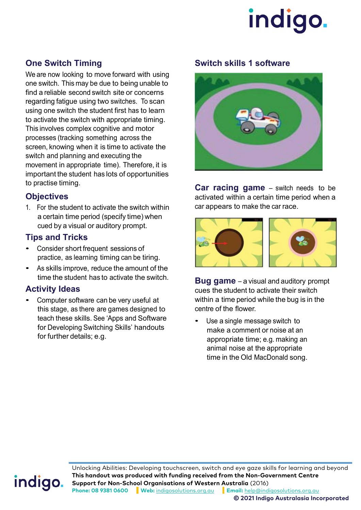

#### **One Switch Timing**

We are now looking to move forward with using one switch. This may be due to being unable to find a reliable second switch site or concerns regarding fatigue using two switches. To scan using one switch the student first has to learn to activate the switch with appropriate timing. This involves complex cognitive and motor processes (tracking something across the screen, knowing when it is time to activate the switch and planning and executing the movement in appropriate time). Therefore, it is important the student has lots of opportunities to practise timing.

#### **Objectives**

1. For the student to activate the switch within a certain time period (specify time) when cued by a visual or auditory prompt.

#### **Tips and Tricks**

- Consider short frequent sessions of practice, as learning timing can be tiring.
- As skills improve, reduce the amount of the time the student has to activate the switch.

#### **Activity Ideas**

• Computer software can be very useful at this stage, as there are games designed to teach these skills. See 'Apps and Software for Developing Switching Skills' handouts for further details; e.g.

#### **Switch skills 1 software**



**Car racing game** – switch needs to be activated within a certain time period when a car appears to make the car race.



**Bug game** – a visual and auditory prompt cues the student to activate their switch within a time period while the bug is in the centre of the flower.

Use a single message switch to make a comment or noise at an appropriate time; e.g. making an animal noise at the appropriate time in the Old MacDonald song.

## indigo.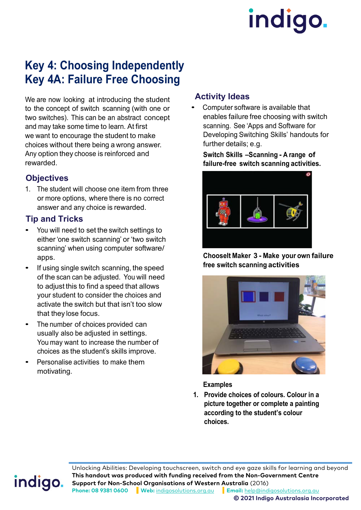### **Key 4: Choosing Independently Key 4A: Failure Free Choosing**

We are now looking at introducing the student to the concept of switch scanning (with one or two switches). This can be an abstract concept and may take some time to learn. At first we want to encourage the student to make choices without there being a wrong answer. Any option they choose is reinforced and rewarded.

#### **Objectives**

1. The student will choose one item from three or more options, where there is no correct answer and any choice is rewarded.

#### **Tip and Tricks**

- You will need to set the switch settings to either 'one switch scanning' or 'two switch scanning' when using computer software/ apps.
- If using single switch scanning, the speed of the scan can be adjusted. You will need to adjust this to find a speed that allows your student to consider the choices and activate the switch but that isn't too slow that they lose focus.
- The number of choices provided can usually also be adjusted in settings. You may want to increase the number of choices as the student's skills improve.
- Personalise activities to make them motivating.

#### **Activity Ideas**

• Computer software is available that enables failure free choosing with switch scanning. See 'Apps and Software for Developing Switching Skills' handouts for further details; e.g.

**Switch Skills –Scanning - A range of failure-free switch scanning activities.**



#### **ChooseIt Maker 3 - Make your own failure free switch scanning activities**



#### **Examples**

**1. Provide choices of colours. Colour in a picture together or complete a painting according to the student's colour choices.**

## indigo.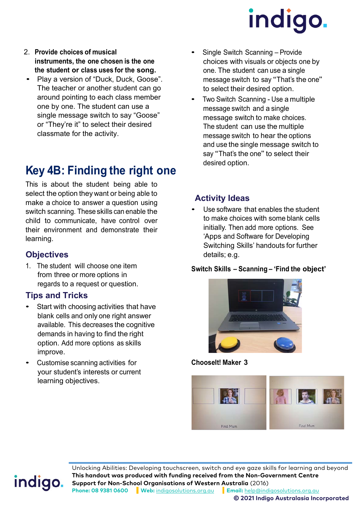- 2. **Provide choices of musical instruments, the one chosen is the one the student or class uses for the song.**
- Play a version of "Duck, Duck, Goose". The teacher or another student can go around pointing to each class member one by one. The student can use a single message switch to say "Goose" or "They're it" to select their desired classmate for the activity.

### **Key 4B: Finding the right one**

This is about the student being able to select the option they want or being able to make a choice to answer a question using switch scanning. These skills can enable the child to communicate, have control over their environment and demonstrate their learning.

#### **Objectives**

1. The student will choose one item from three or more options in regards to a request or question.

#### **Tips and Tricks**

- Start with choosing activities that have blank cells and only one right answer available. This decreases the cognitive demands in having to find the right option. Add more options as skills improve.
- Customise scanning activities for your student's interests or current learning objectives.
- Single Switch Scanning Provide choices with visuals or objects one by one. The student can use a single message switch to say "That's the one" to select their desired option.
- Two Switch Scanning Use a multiple message switch and a single message switch to make choices. The student can use the multiple message switch to hear the options and use the single message switch to say "That's the one" to select their desired option.

#### **Activity Ideas**

Use software that enables the student to make choices with some blank cells initially. Then add more options. See 'Apps and Software for Developing Switching Skills' handouts for further details; e.g.

**Switch Skills – Scanning – 'Find the object'**



**ChooseIt! Maker 3**



## indigo.

Unlocking Abilities: Developing touchscreen, switch and eye gaze skills for learning and beyond **This handout was produced with funding received from the Non-Government Centre Support for Non-School Organisations of Western Australia** (2016) **Phone: 08 9381 0600 Web:** [indigosolutions.org.au](https://www.indigosolutions.org.au/) **Email:** [help@indigosolutions.org.au](mailto:help@indigosolutions.org.au)

**© 2021 Indigo Australasia Incorporated**